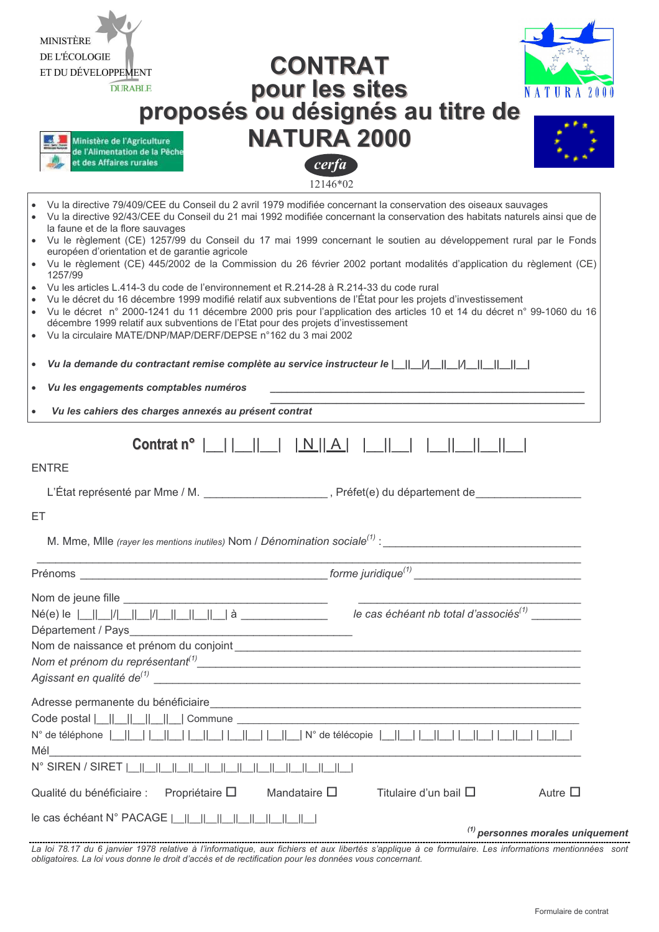| <b>MINISTÈRE</b><br>DE L'ÉCOLOGIE<br><b>CONTRAT</b><br>ET DU DÉVELOPPEMENT<br>pour les sites<br>proposés ou désignés au titre de<br><b>DURABLE</b><br><b>ATURA</b><br>NATURA 2000<br>Ministère de l'Agriculture<br>de l'Alimentation de la Pêche<br>t des Affaires rurales<br>cerfa<br>12146*02                                                                                                                                                                                                                                                                                                                                                                                                                                                                                                                                                                                                                                                                                                                                                                                                                                                                                                                             |
|-----------------------------------------------------------------------------------------------------------------------------------------------------------------------------------------------------------------------------------------------------------------------------------------------------------------------------------------------------------------------------------------------------------------------------------------------------------------------------------------------------------------------------------------------------------------------------------------------------------------------------------------------------------------------------------------------------------------------------------------------------------------------------------------------------------------------------------------------------------------------------------------------------------------------------------------------------------------------------------------------------------------------------------------------------------------------------------------------------------------------------------------------------------------------------------------------------------------------------|
| Vu la directive 79/409/CEE du Conseil du 2 avril 1979 modifiée concernant la conservation des oiseaux sauvages<br>Vu la directive 92/43/CEE du Conseil du 21 mai 1992 modifiée concernant la conservation des habitats naturels ainsi que de<br>la faune et de la flore sauvages<br>Vu le règlement (CE) 1257/99 du Conseil du 17 mai 1999 concernant le soutien au développement rural par le Fonds<br>européen d'orientation et de garantie agricole<br>Vu le règlement (CE) 445/2002 de la Commission du 26 février 2002 portant modalités d'application du règlement (CE)<br>1257/99<br>Vu les articles L.414-3 du code de l'environnement et R.214-28 à R.214-33 du code rural<br>Vu le décret du 16 décembre 1999 modifié relatif aux subventions de l'État pour les projets d'investissement<br>Vu le décret n° 2000-1241 du 11 décembre 2000 pris pour l'application des articles 10 et 14 du décret n° 99-1060 du 16<br>$\bullet$<br>décembre 1999 relatif aux subventions de l'Etat pour des projets d'investissement<br>Vu la circulaire MATE/DNP/MAP/DERF/DEPSE n°162 du 3 mai 2002<br>$\bullet$<br>Vu les engagements comptables numéros<br>$\bullet$<br>Vu les cahiers des charges annexés au présent contrat |
| <b>ENTRE</b><br>L'État représenté par Mme / M.<br>, Préfet(e) du département de<br>EТ                                                                                                                                                                                                                                                                                                                                                                                                                                                                                                                                                                                                                                                                                                                                                                                                                                                                                                                                                                                                                                                                                                                                       |
|                                                                                                                                                                                                                                                                                                                                                                                                                                                                                                                                                                                                                                                                                                                                                                                                                                                                                                                                                                                                                                                                                                                                                                                                                             |
| Code postal $\begin{array}{ c c c c c c }\n\hline\n&\multicolumn{1}{ c }{\text{Common}}&\multicolumn{1}{ c }{\text{Common}}&\multicolumn{1}{ c }{\text{Common}}&\multicolumn{1}{ c }{\text{Common}}&\multicolumn{1}{ c }{\text{Common}}&\multicolumn{1}{ c }{\text{Common}}&\multicolumn{1}{ c }{\text{Common}}&\multicolumn{1}{ c }{\text{Common}}&\multicolumn{1}{ c }{\text{Common}}&\multicolumn{1}{ c }{\text{Common}}&\multicolumn{1}{ c }{\text{$<br>Mélectrique de la proporcion de la proporcion de la proporcion de la proporcion de la proporcion de la proporc<br>N° SIREN / SIRET  <br>Mandataire $\square$<br>Titulaire d'un bail $\Box$<br>Autre $\Box$<br>Qualité du bénéficiaire : Propriétaire $\square$<br>$(1)$ personnes morales uniquement                                                                                                                                                                                                                                                                                                                                                                                                                                                            |

La loi 78.17 du 6 janvier 1978 relative à l'informatique, aux fichiers et aux libertés s'applique à ce formulaire. Les informations mentionnées sont<br>Obligatoires. La loi vous donne le droit d'accès et de rectification pour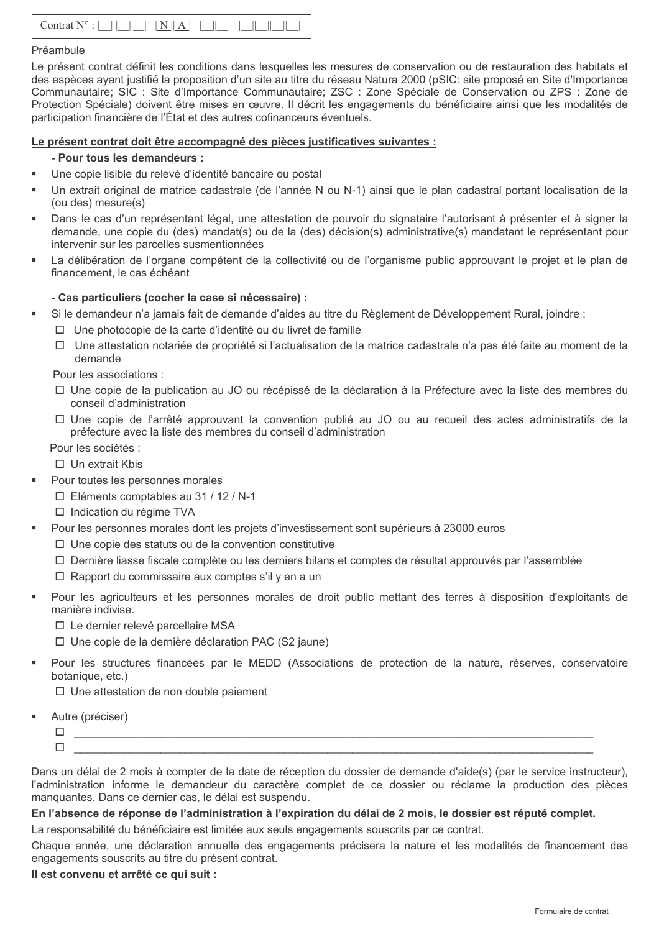## Préambule

Le présent contrat définit les conditions dans lesquelles les mesures de conservation ou de restauration des habitats et des espèces ayant justifié la proposition d'un site au titre du réseau Natura 2000 (pSIC: site proposé en Site d'Importance Communautaire; SIC : Site d'Importance Communautaire; ZSC : Zone Spéciale de Conservation ou ZPS : Zone de Protection Spéciale) doivent être mises en œuvre. Il décrit les engagements du bénéficiaire ainsi que les modalités de participation financière de l'État et des autres cofinanceurs éventuels.

## Le présent contrat doit être accompagné des pièces justificatives suivantes :

## - Pour tous les demandeurs :

- Une copie lisible du relevé d'identité bancaire ou postal
- Un extrait original de matrice cadastrale (de l'année N ou N-1) ainsi que le plan cadastral portant localisation de la  $(ou$  des) mesure $(s)$
- Dans le cas d'un représentant légal, une attestation de pouvoir du signataire l'autorisant à présenter et à signer la demande, une copie du (des) mandat(s) ou de la (des) décision(s) administrative(s) mandatant le représentant pour intervenir sur les parcelles susmentionnées
- La délibération de l'organe compétent de la collectivité ou de l'organisme public approuvant le projet et le plan de financement, le cas échéant

## - Cas particuliers (cocher la case si nécessaire) :

- Si le demandeur n'a jamais fait de demande d'aides au titre du Règlement de Développement Rural, joindre :
	- $\Box$  Une photocopie de la carte d'identité ou du livret de famille
	- □ Une attestation notariée de propriété si l'actualisation de la matrice cadastrale n'a pas été faite au moment de la demande

Pour les associations :

- □ Une copie de la publication au JO ou récépissé de la déclaration à la Préfecture avec la liste des membres du conseil d'administration
- $\Box$  Une copie de l'arrêté approuvant la convention publié au JO ou au recueil des actes administratifs de la préfecture avec la liste des membres du conseil d'administration

Pour les sociétés :

- $\Box$  Un extrait Kbis
- Pour toutes les personnes morales
- $\Box$  Eléments comptables au 31 / 12 / N-1
- $\Box$  Indication du régime TVA
- Pour les personnes morales dont les projets d'investissement sont supérieurs à 23000 euros
	- $\Box$  Une copie des statuts ou de la convention constitutive
	- □ Dernière liasse fiscale complète ou les derniers bilans et comptes de résultat approuvés par l'assemblée
	- $\Box$  Rapport du commissaire aux comptes s'il v en a un
- Pour les agriculteurs et les personnes morales de droit public mettant des terres à disposition d'exploitants de manière indivise.
	- □ Le dernier relevé parcellaire MSA
	- □ Une copie de la dernière déclaration PAC (S2 jaune)
- Pour les structures financées par le MEDD (Associations de protection de la nature, réserves, conservatoire botanique, etc.)

 $\Box$  Une attestation de non double paiement

- Autre (préciser)
	- $\Box$ 
		- $\Box$

Dans un délai de 2 mois à compter de la date de réception du dossier de demande d'aide(s) (par le service instructeur). l'administration informe le demandeur du caractère complet de ce dossier ou réclame la production des pièces manquantes. Dans ce dernier cas, le délai est suspendu.

## En l'absence de réponse de l'administration à l'expiration du délai de 2 mois, le dossier est réputé complet.

La responsabilité du bénéficiaire est limitée aux seuls engagements souscrits par ce contrat. Chaque année, une déclaration annuelle des engagements précisera la nature et les modalités de financement des

engagements souscrits au titre du présent contrat.

## Il est convenu et arrêté ce qui suit :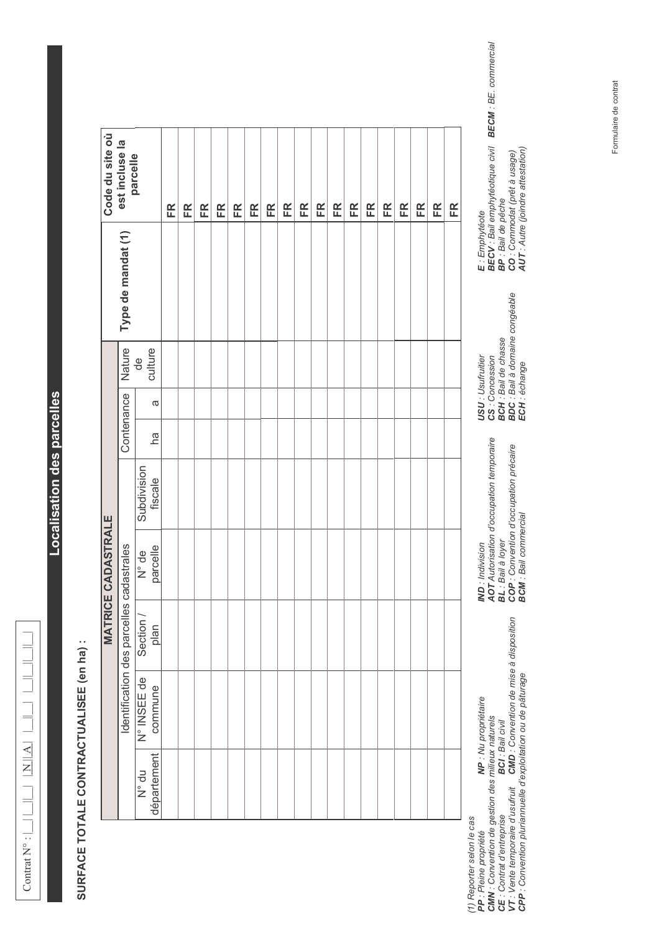$\equiv$  $\overline{a}$  $N||A||$ Contrat  $N^{\circ}$ : | || ||

## **Localisation des parcelles**

## SURFACE TOTALE CONTRACTUALISEE (en ha) :

| Code du site où           | est incluse la<br>parcelle               |                                 | FR | FR | FR | FR | FR | FR | FR | FR | FR | FR | FR | FR | FR | FR | FR | FR | FR | FR |
|---------------------------|------------------------------------------|---------------------------------|----|----|----|----|----|----|----|----|----|----|----|----|----|----|----|----|----|----|
|                           | Type de mandat (1)                       |                                 |    |    |    |    |    |    |    |    |    |    |    |    |    |    |    |    |    |    |
|                           | Nature                                   | culture<br>$\frac{1}{\sqrt{2}}$ |    |    |    |    |    |    |    |    |    |    |    |    |    |    |    |    |    |    |
|                           |                                          | ω                               |    |    |    |    |    |    |    |    |    |    |    |    |    |    |    |    |    |    |
|                           | Contenance                               | hã                              |    |    |    |    |    |    |    |    |    |    |    |    |    |    |    |    |    |    |
|                           |                                          | Subdivision<br>fiscale          |    |    |    |    |    |    |    |    |    |    |    |    |    |    |    |    |    |    |
| <b>MATRICE CADASTRALE</b> |                                          | parcelle<br>N° de               |    |    |    |    |    |    |    |    |    |    |    |    |    |    |    |    |    |    |
|                           | Identification des parcelles cadastrales | Section /<br>plan               |    |    |    |    |    |    |    |    |    |    |    |    |    |    |    |    |    |    |
|                           |                                          | N° INSEE de<br>commune          |    |    |    |    |    |    |    |    |    |    |    |    |    |    |    |    |    |    |
|                           |                                          | département<br>N° du            |    |    |    |    |    |    |    |    |    |    |    |    |    |    |    |    |    |    |

(1) Reporter selon le cas<br>PP : Pleine propriété<br>CMM : Convention de gestion des milieux naturels<br>CE : Contrat d'entreprise<br>VT : Vente temporaire d'usufruit CMD : Convention de mise à disposition<br>CPP : Convention pluri

IND : Indivision<br>AOT Autorisation d'occupation temporaire<br>BL : Bail à loyer<br>COP : Convention d'occupation précaire<br>BCM : Bail commercial

USU : Usufruitier<br>CS : Concession<br>BCH : Bail de chasse<br>BDC : Bail à domaine congéable<br>ECH : échange

E : Emphytéote<br>BECV : Bail emphytéotique civil BECM : BE. commercial<br>BP : Bail de pêche<br>CO : Commodat (prêt à usage)<br>AUT : Autre (joindre attestation)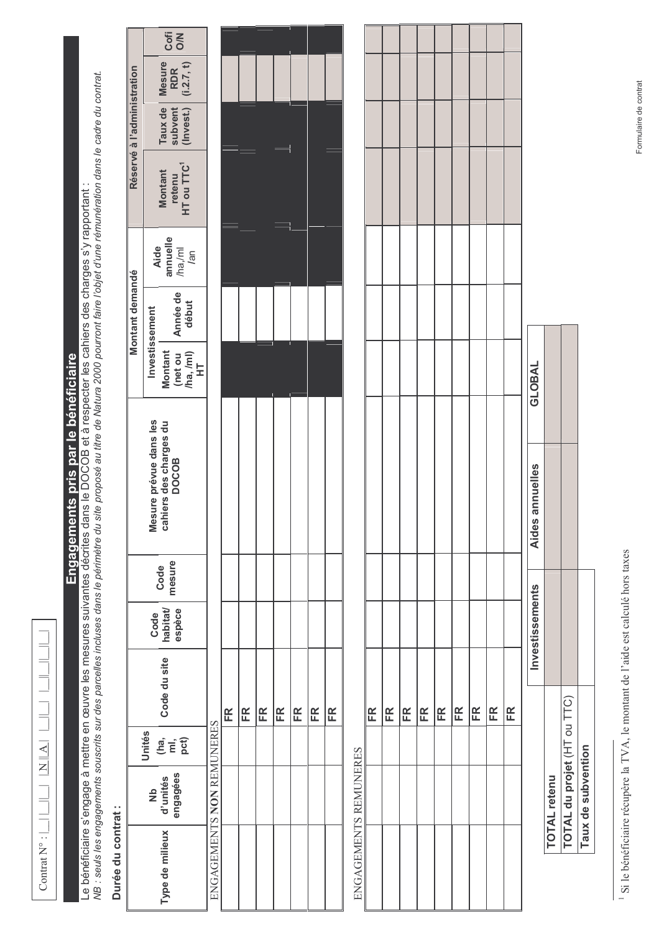$\equiv$  $\frac{\mathbf{N}}{\mathbf{N}}$  $\text{Contrat } N^{\circ} : \bigsqcup \bigsqcup \bigsqcup$ 

## Engagements pris par le bénéficiaire

Le bénéficiaire s'engage à mettre en œuvre les mesures suivantes décrites dans le DOCOB et à respecter les cahiers des charges s'y rapportant :<br>NB : seuls les engagements souscrits sur des parcelles incluses dans le périmè

## $\frac{1}{2}$ ŀ,  $\ddot{\phantom{0}}$  $\overline{\phantom{a}}$

|                            | Type de milieux                                                  | ENGAGEMENTS NON REMUNERES |    |    |    |    |    |    |    | ENGAGEMENTS REMUNERES |    |    |    |    |    |    |    |    |    |               |
|----------------------------|------------------------------------------------------------------|---------------------------|----|----|----|----|----|----|----|-----------------------|----|----|----|----|----|----|----|----|----|---------------|
|                            | engagées<br>Nb<br>d'unités                                       |                           |    |    |    |    |    |    |    |                       |    |    |    |    |    |    |    |    |    |               |
|                            | Unités<br>$(E \overline{E})$<br>$D$                              |                           |    |    |    |    |    |    |    |                       |    |    |    |    |    |    |    |    |    |               |
|                            | Code du site                                                     |                           | FR | FR | FR | FR | FR | FR | FR |                       | FR | FR | ER | FR | FR | FR | FR | FR | FR |               |
|                            | espèce<br>Code<br>habitat/                                       |                           |    |    |    |    |    |    |    |                       |    |    |    |    |    |    |    |    |    |               |
|                            | mesure<br>Code                                                   |                           |    |    |    |    |    |    |    |                       |    |    |    |    |    |    |    |    |    |               |
|                            | Mesure prévue dans les<br>cahiers des charges du<br><b>DOCOB</b> |                           |    |    |    |    |    |    |    |                       |    |    |    |    |    |    |    |    |    |               |
|                            | Montant<br>$\frac{ln(1)}{HT}$<br>(net ou                         |                           |    |    |    |    |    |    |    |                       |    |    |    |    |    |    |    |    |    | <b>GLOBAL</b> |
| Montant demandé            | Année de<br>début<br>Investissement                              |                           |    |    |    |    |    |    |    |                       |    |    |    |    |    |    |    |    |    |               |
|                            | annuelle<br>Aide<br>/ml<br>$\overline{a}$                        |                           |    |    |    |    |    |    |    |                       |    |    |    |    |    |    |    |    |    |               |
|                            | HT ou TTC <sup>1</sup><br>Montant<br>retenu                      |                           |    |    |    |    |    |    |    |                       |    |    |    |    |    |    |    |    |    |               |
| Réservé à l'administration | Taux de<br>subvent<br>(Invest.)                                  |                           |    |    |    |    |    |    |    |                       |    |    |    |    |    |    |    |    |    |               |
|                            | Mesure<br>RDR<br>(i.2.7, t)                                      |                           |    |    |    |    |    |    |    |                       |    |    |    |    |    |    |    |    |    |               |
|                            | Cofi                                                             |                           |    |    |    |    |    |    |    |                       |    |    |    |    |    |    |    |    |    |               |

Si le bénéficiaire récupère la TVA, le montant de l'aide est calculé hors taxes

TOTAL du projet (HT ou TTC)

**TOTAL retenu** 

Taux de subvention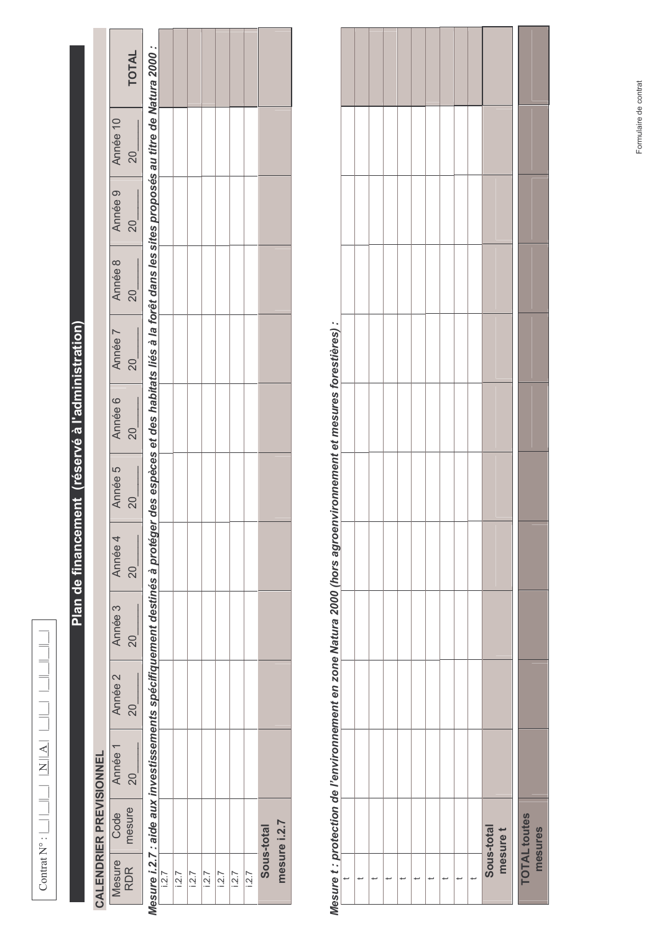| í |
|---|
|   |
|   |
|   |
|   |
|   |
| Ï |
|   |
|   |
|   |

# Plan de financement (réservé à l'administration)

## **CALENDRIER PREVISIONNEL**

|                  | <b>TOTAL</b>    |                                                                                               |      |      |      |      |       |      |       |            |              |
|------------------|-----------------|-----------------------------------------------------------------------------------------------|------|------|------|------|-------|------|-------|------------|--------------|
| Année 10         | 20              | des espèces et des habitats liés à la forêt dans les sites proposés au titre de Natura 2000 : |      |      |      |      |       |      |       |            |              |
| Année 9          | 20              |                                                                                               |      |      |      |      |       |      |       |            |              |
| Année 8          | 20              |                                                                                               |      |      |      |      |       |      |       |            |              |
| Année 7          | $\overline{20}$ |                                                                                               |      |      |      |      |       |      |       |            |              |
| Année 6          | $\overline{0}$  |                                                                                               |      |      |      |      |       |      |       |            |              |
| Année 5          | 20              |                                                                                               |      |      |      |      |       |      |       |            |              |
| Année 4          | 20              |                                                                                               |      |      |      |      |       |      |       |            |              |
| Année 3          | 20              |                                                                                               |      |      |      |      |       |      |       |            |              |
| Année 2          | 20              | Mesure i.2.7 : aide aux investissements spécifiquement destinés à protéger                    |      |      |      |      |       |      |       |            |              |
| Année 1          | $\infty$        |                                                                                               |      |      |      |      |       |      |       |            |              |
| Code <sup></sup> | mesure          |                                                                                               |      |      |      |      |       |      |       |            |              |
| Mesure           | <b>RDR</b>      |                                                                                               | 12.7 | 12.7 | 12.7 | 12.7 | 1.2.7 | 12.7 | 1.2.7 | Sous-total | mesure i.2.7 |

# Mesure t : protection de l'environnement en zone Natura 2000 (hors agroenvironnement et mesures forestières) :

| בשט השוויט בי או השירות המוני המוני המוני המוני המוני המוני המוני המוני המוני המוני המוני המוני המוני המוני המ |  |  |  |  |  |                        |                     |         |
|----------------------------------------------------------------------------------------------------------------|--|--|--|--|--|------------------------|---------------------|---------|
|                                                                                                                |  |  |  |  |  | Sous-total<br>mesure t | <b>TOTAL toutes</b> | mesures |
|                                                                                                                |  |  |  |  |  |                        |                     |         |

l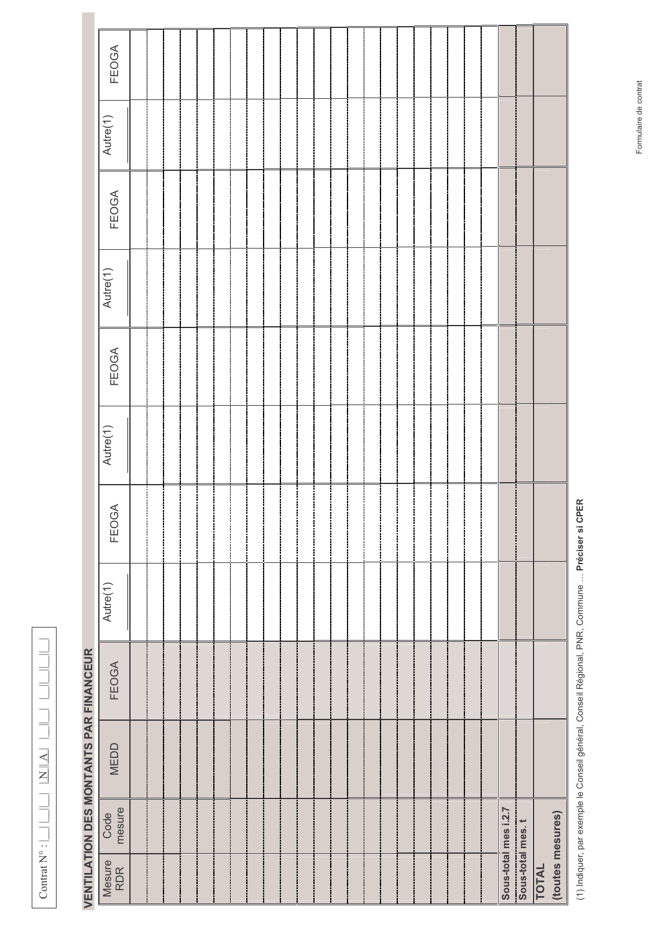| Ξ |
|---|
|   |
|   |
|   |
|   |
|   |
|   |
|   |
|   |
|   |
|   |
|   |
|   |
| Ė |
|   |
|   |
|   |
|   |
|   |
|   |
|   |
|   |
|   |
|   |
|   |
|   |
| Ï |
|   |
|   |
|   |
|   |
|   |
|   |
|   |
|   |
|   |
|   |
|   |
|   |
|   |
|   |
|   |
|   |
|   |
|   |
| l |
|   |
|   |
|   |
|   |
|   |
|   |
|   |
|   |
|   |
|   |
|   |

# **VENTILATION DES MONTANTS PAR FINANCEUR**

| FEOGA                               |  |  |  |  |  |  |  |  |  |  |  |                      |                  |                           |
|-------------------------------------|--|--|--|--|--|--|--|--|--|--|--|----------------------|------------------|---------------------------|
| Autre(1)                            |  |  |  |  |  |  |  |  |  |  |  |                      |                  |                           |
| FEOGA                               |  |  |  |  |  |  |  |  |  |  |  |                      |                  |                           |
| Autre(1)                            |  |  |  |  |  |  |  |  |  |  |  |                      |                  |                           |
| FEOGA                               |  |  |  |  |  |  |  |  |  |  |  |                      |                  |                           |
| Autre(1)                            |  |  |  |  |  |  |  |  |  |  |  |                      |                  |                           |
| FEOGA                               |  |  |  |  |  |  |  |  |  |  |  |                      |                  |                           |
| Autre(1)                            |  |  |  |  |  |  |  |  |  |  |  |                      |                  |                           |
| )<br> <br> }<br><b>FEOGA</b><br>ミニニ |  |  |  |  |  |  |  |  |  |  |  |                      |                  |                           |
| MEDD                                |  |  |  |  |  |  |  |  |  |  |  |                      |                  |                           |
| Code<br>mesure                      |  |  |  |  |  |  |  |  |  |  |  | Sous-total mes i.2.7 |                  |                           |
| Mesure<br>RDR                       |  |  |  |  |  |  |  |  |  |  |  |                      | Sous-total mes.t | TOTAL<br>(toutes mesures) |

(1) Indiquer, par exemple le Conseil général, Conseil Régional, PNR, Commune ... Préciser si CPER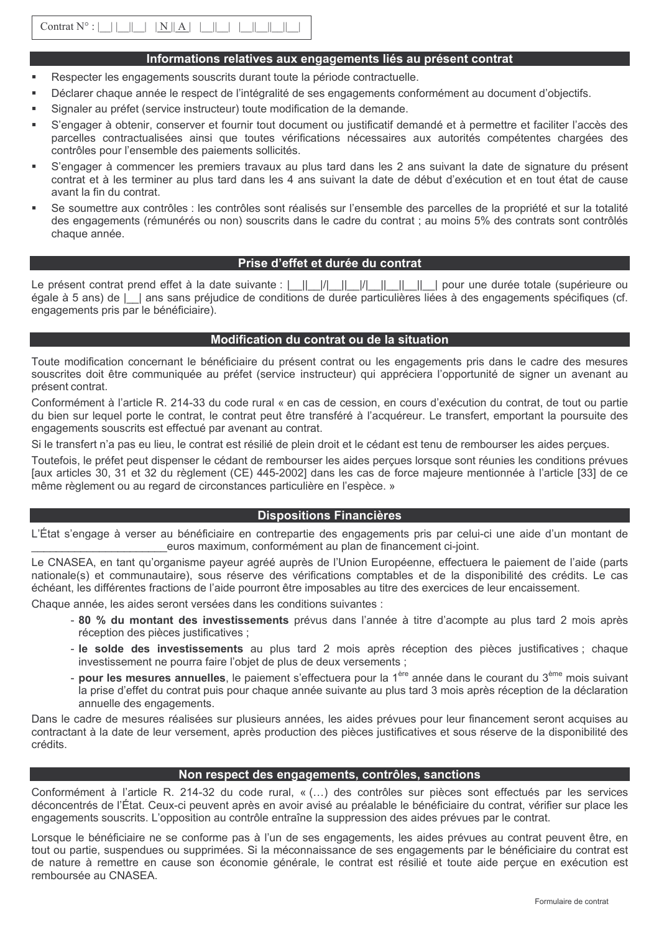## Informations relatives aux engagements liés au présent contrat

- Respecter les engagements souscrits durant toute la période contractuelle.
- Déclarer chaque année le respect de l'intégralité de ses engagements conformément au document d'objectifs.
- Signaler au préfet (service instructeur) toute modification de la demande.
- S'engager à obtenir, conserver et fournir tout document ou justificatif demandé et à permettre et faciliter l'accès des parcelles contractualisées ainsi que toutes vérifications nécessaires aux autorités compétentes chargées des contrôles pour l'ensemble des paiements sollicités.
- S'engager à commencer les premiers travaux au plus tard dans les 2 ans suivant la date de signature du présent contrat et à les terminer au plus tard dans les 4 ans suivant la date de début d'exécution et en tout état de cause avant la fin du contrat.
- Se soumettre aux contrôles : les contrôles sont réalisés sur l'ensemble des parcelles de la propriété et sur la totalité des engagements (rémunérés ou non) souscrits dans le cadre du contrat ; au moins 5% des contrats sont contrôlés chaque année.

## Prise d'effet et durée du contrat

Le présent contrat prend effet à la date suivante : | || || || || || || || || || || pour une durée totale (supérieure ou égale à 5 ans) de l | ans sans préjudice de conditions de durée particulières liées à des engagements spécifiques (cf. engagements pris par le bénéficiaire).

## Modification du contrat ou de la situation

Toute modification concernant le bénéficiaire du présent contrat ou les engagements pris dans le cadre des mesures souscrites doit être communiquée au préfet (service instructeur) qui appréciera l'opportunité de signer un avenant au présent contrat.

Conformément à l'article R. 214-33 du code rural « en cas de cession, en cours d'exécution du contrat, de tout ou partie du bien sur lequel porte le contrat, le contrat peut être transféré à l'acquéreur. Le transfert, emportant la poursuite des engagements souscrits est effectué par avenant au contrat.

Si le transfert n'a pas eu lieu, le contrat est résilié de plein droit et le cédant est tenu de rembourser les aides percues.

Toutefois, le préfet peut dispenser le cédant de rembourser les aides perçues lorsque sont réunies les conditions prévues [aux articles 30, 31 et 32 du règlement (CE) 445-2002] dans les cas de force majeure mentionnée à l'article [33] de ce même règlement ou au regard de circonstances particulière en l'espèce. »

## **Dispositions Financières**

L'État s'engage à verser au bénéficiaire en contrepartie des engagements pris par celui-ci une aide d'un montant de euros maximum, conformément au plan de financement ci-joint.

Le CNASEA, en tant qu'organisme payeur agréé auprès de l'Union Européenne, effectuera le paiement de l'aide (parts nationale(s) et communautaire), sous réserve des vérifications comptables et de la disponibilité des crédits. Le cas échéant, les différentes fractions de l'aide pourront être imposables au titre des exercices de leur encaissement.

Chaque année, les aides seront versées dans les conditions suivantes :

- 80 % du montant des investissements prévus dans l'année à titre d'acompte au plus tard 2 mois après réception des pièces iustificatives :
- le solde des investissements au plus tard 2 mois après réception des pièces justificatives ; chaque investissement ne pourra faire l'objet de plus de deux versements :
- pour les mesures annuelles, le paiement s'effectuera pour la 1<sup>ère</sup> année dans le courant du 3<sup>ème</sup> mois suivant la prise d'effet du contrat puis pour chaque année suivante au plus tard 3 mois après réception de la déclaration annuelle des engagements.

Dans le cadre de mesures réalisées sur plusieurs années, les aides prévues pour leur financement seront acquises au contractant à la date de leur versement, après production des pièces justificatives et sous réserve de la disponibilité des crédits.

## Non respect des engagements, contrôles, sanctions

Conformément à l'article R. 214-32 du code rural, « (...) des contrôles sur pièces sont effectués par les services déconcentrés de l'État. Ceux-ci peuvent après en avoir avisé au préalable le bénéficiaire du contrat, vérifier sur place les engagements souscrits. L'opposition au contrôle entraîne la suppression des aides prévues par le contrat.

Lorsque le bénéficiaire ne se conforme pas à l'un de ses engagements, les aides prévues au contrat peuvent être, en tout ou partie, suspendues ou supprimées. Si la méconnaissance de ses engagements par le bénéficiaire du contrat est de nature à remettre en cause son économie générale, le contrat est résilié et toute aide perçue en exécution est remboursée au CNASEA.